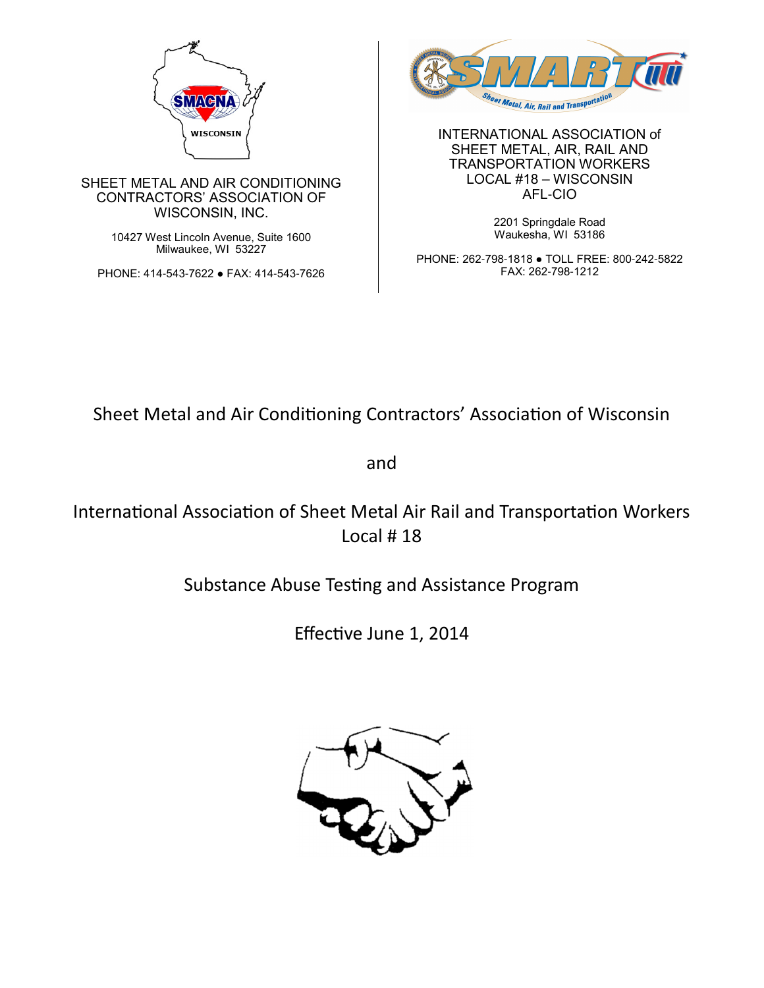

SHEET METAL AND AIR CONDITIONING CONTRACTORS' ASSOCIATION OF WISCONSIN, INC.

> 10427 West Lincoln Avenue, Suite 1600 Milwaukee, WI 53227

PHONE: 414-543-7622 ● FAX: 414-543-7626



INTERNATIONAL ASSOCIATION of SHEET METAL, AIR, RAIL AND TRANSPORTATION WORKERS LOCAL #18 – WISCONSIN AFL-CIO

> 2201 Springdale Road Waukesha, WI 53186

PHONE: 262-798-1818 ● TOLL FREE: 800-242-5822 FAX: 262-798-1212

Sheet Metal and Air Conditioning Contractors' Association of Wisconsin

and

International Association of Sheet Metal Air Rail and Transportation Workers Local # 18

Substance Abuse Testing and Assistance Program

Effective June 1, 2014

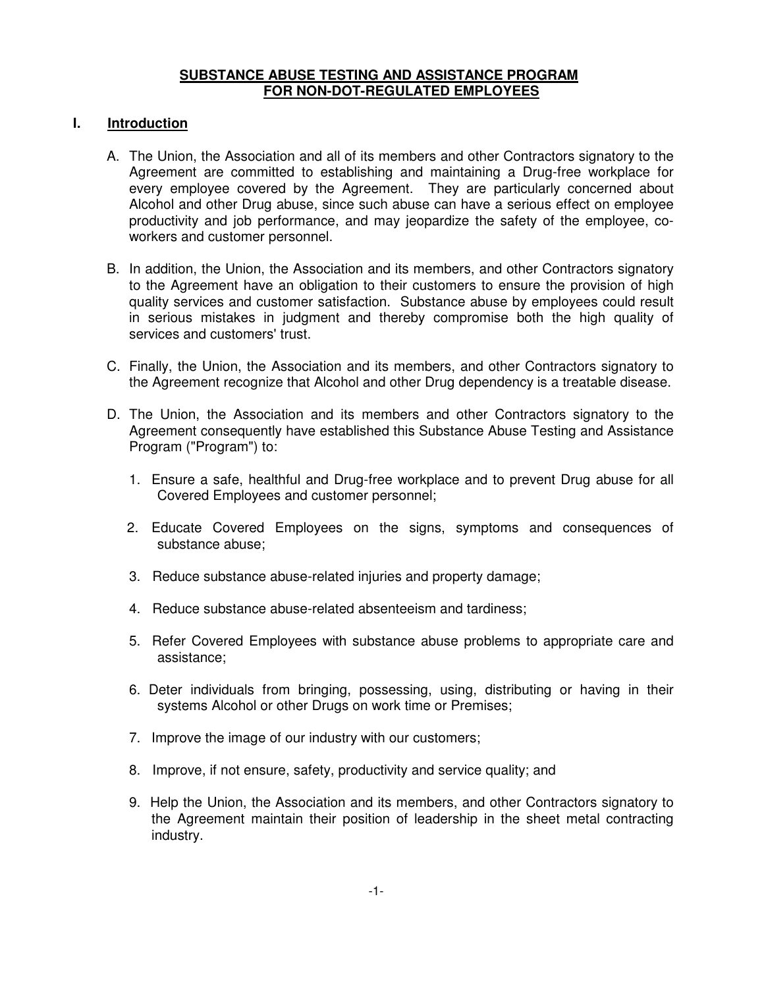### **SUBSTANCE ABUSE TESTING AND ASSISTANCE PROGRAM FOR NON-DOT-REGULATED EMPLOYEES**

# **I. Introduction**

- A. The Union, the Association and all of its members and other Contractors signatory to the Agreement are committed to establishing and maintaining a Drug-free workplace for every employee covered by the Agreement. They are particularly concerned about Alcohol and other Drug abuse, since such abuse can have a serious effect on employee productivity and job performance, and may jeopardize the safety of the employee, coworkers and customer personnel.
- B. In addition, the Union, the Association and its members, and other Contractors signatory to the Agreement have an obligation to their customers to ensure the provision of high quality services and customer satisfaction. Substance abuse by employees could result in serious mistakes in judgment and thereby compromise both the high quality of services and customers' trust.
- C. Finally, the Union, the Association and its members, and other Contractors signatory to the Agreement recognize that Alcohol and other Drug dependency is a treatable disease.
- D. The Union, the Association and its members and other Contractors signatory to the Agreement consequently have established this Substance Abuse Testing and Assistance Program ("Program") to:
	- 1. Ensure a safe, healthful and Drug-free workplace and to prevent Drug abuse for all Covered Employees and customer personnel;
	- 2. Educate Covered Employees on the signs, symptoms and consequences of substance abuse;
	- 3. Reduce substance abuse-related injuries and property damage;
	- 4. Reduce substance abuse-related absenteeism and tardiness;
	- 5. Refer Covered Employees with substance abuse problems to appropriate care and assistance;
	- 6. Deter individuals from bringing, possessing, using, distributing or having in their systems Alcohol or other Drugs on work time or Premises;
	- 7. Improve the image of our industry with our customers;
	- 8. Improve, if not ensure, safety, productivity and service quality; and
	- 9. Help the Union, the Association and its members, and other Contractors signatory to the Agreement maintain their position of leadership in the sheet metal contracting industry.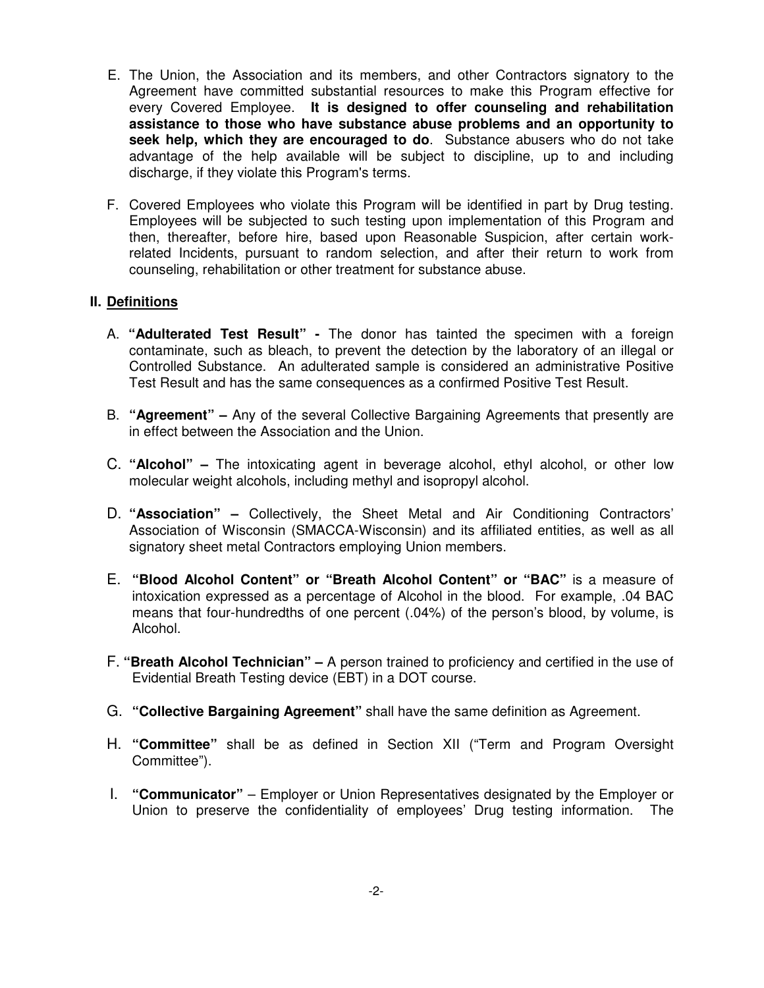- E. The Union, the Association and its members, and other Contractors signatory to the Agreement have committed substantial resources to make this Program effective for every Covered Employee. **It is designed to offer counseling and rehabilitation assistance to those who have substance abuse problems and an opportunity to seek help, which they are encouraged to do**. Substance abusers who do not take advantage of the help available will be subject to discipline, up to and including discharge, if they violate this Program's terms.
- F. Covered Employees who violate this Program will be identified in part by Drug testing. Employees will be subjected to such testing upon implementation of this Program and then, thereafter, before hire, based upon Reasonable Suspicion, after certain workrelated Incidents, pursuant to random selection, and after their return to work from counseling, rehabilitation or other treatment for substance abuse.

#### **II. Definitions**

- A. **"Adulterated Test Result"** The donor has tainted the specimen with a foreign contaminate, such as bleach, to prevent the detection by the laboratory of an illegal or Controlled Substance. An adulterated sample is considered an administrative Positive Test Result and has the same consequences as a confirmed Positive Test Result.
- B. **"Agreement" –** Any of the several Collective Bargaining Agreements that presently are in effect between the Association and the Union.
- C. **"Alcohol"** The intoxicating agent in beverage alcohol, ethyl alcohol, or other low molecular weight alcohols, including methyl and isopropyl alcohol.
- D. **"Association"** Collectively, the Sheet Metal and Air Conditioning Contractors' Association of Wisconsin (SMACCA-Wisconsin) and its affiliated entities, as well as all signatory sheet metal Contractors employing Union members.
- E. **"Blood Alcohol Content" or "Breath Alcohol Content" or "BAC"** is a measure of intoxication expressed as a percentage of Alcohol in the blood. For example, .04 BAC means that four-hundredths of one percent (.04%) of the person's blood, by volume, is Alcohol.
- F. **"Breath Alcohol Technician"** A person trained to proficiency and certified in the use of Evidential Breath Testing device (EBT) in a DOT course.
- G. **"Collective Bargaining Agreement"** shall have the same definition as Agreement.
- H. **"Committee"** shall be as defined in Section XII ("Term and Program Oversight Committee").
- I. **"Communicator"**  Employer or Union Representatives designated by the Employer or Union to preserve the confidentiality of employees' Drug testing information. The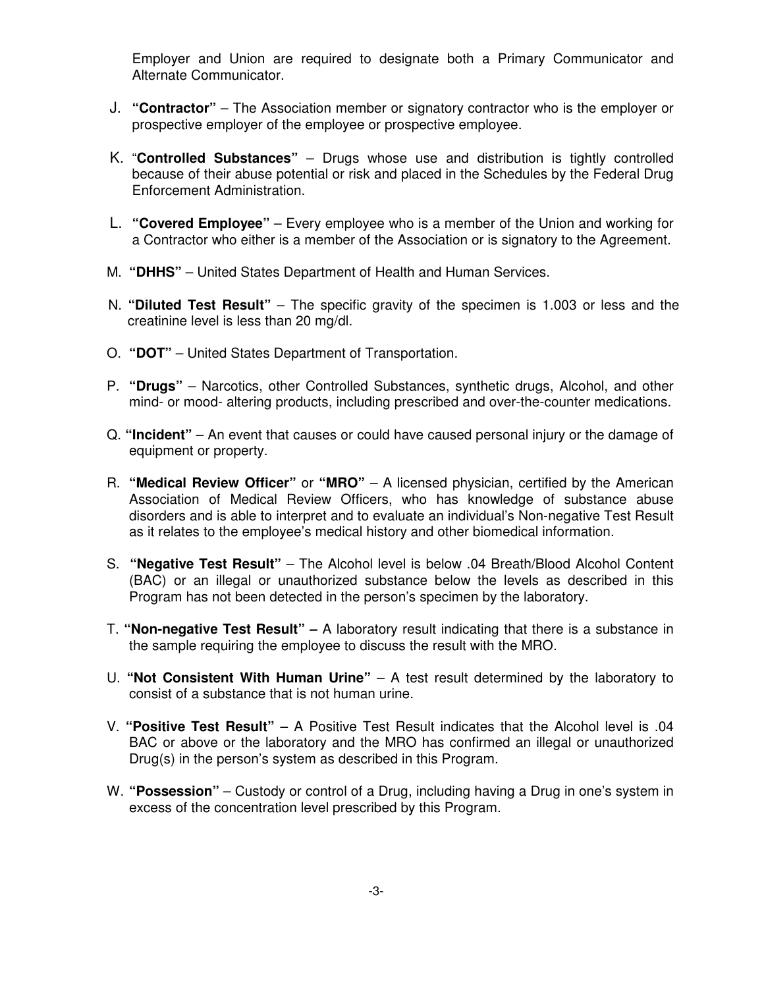Employer and Union are required to designate both a Primary Communicator and Alternate Communicator.

- J. **"Contractor"** The Association member or signatory contractor who is the employer or prospective employer of the employee or prospective employee.
- K. "**Controlled Substances"**  Drugs whose use and distribution is tightly controlled because of their abuse potential or risk and placed in the Schedules by the Federal Drug Enforcement Administration.
- L. **"Covered Employee"** Every employee who is a member of the Union and working for a Contractor who either is a member of the Association or is signatory to the Agreement.
- M. **"DHHS"** United States Department of Health and Human Services.
- N. **"Diluted Test Result"** The specific gravity of the specimen is 1.003 or less and the creatinine level is less than 20 mg/dl.
- O. **"DOT"**  United States Department of Transportation.
- P. **"Drugs"** Narcotics, other Controlled Substances, synthetic drugs, Alcohol, and other mind- or mood- altering products, including prescribed and over-the-counter medications.
- Q. **"Incident"**  An event that causes or could have caused personal injury or the damage of equipment or property.
- R. **"Medical Review Officer"** or **"MRO"** A licensed physician, certified by the American Association of Medical Review Officers, who has knowledge of substance abuse disorders and is able to interpret and to evaluate an individual's Non-negative Test Result as it relates to the employee's medical history and other biomedical information.
- S. **"Negative Test Result"**  The Alcohol level is below .04 Breath/Blood Alcohol Content (BAC) or an illegal or unauthorized substance below the levels as described in this Program has not been detected in the person's specimen by the laboratory.
- T. **"Non-negative Test Result"** A laboratory result indicating that there is a substance in the sample requiring the employee to discuss the result with the MRO.
- U. **"Not Consistent With Human Urine"**  A test result determined by the laboratory to consist of a substance that is not human urine.
- V. **"Positive Test Result"**  A Positive Test Result indicates that the Alcohol level is .04 BAC or above or the laboratory and the MRO has confirmed an illegal or unauthorized Drug(s) in the person's system as described in this Program.
- W. **"Possession"** Custody or control of a Drug, including having a Drug in one's system in excess of the concentration level prescribed by this Program.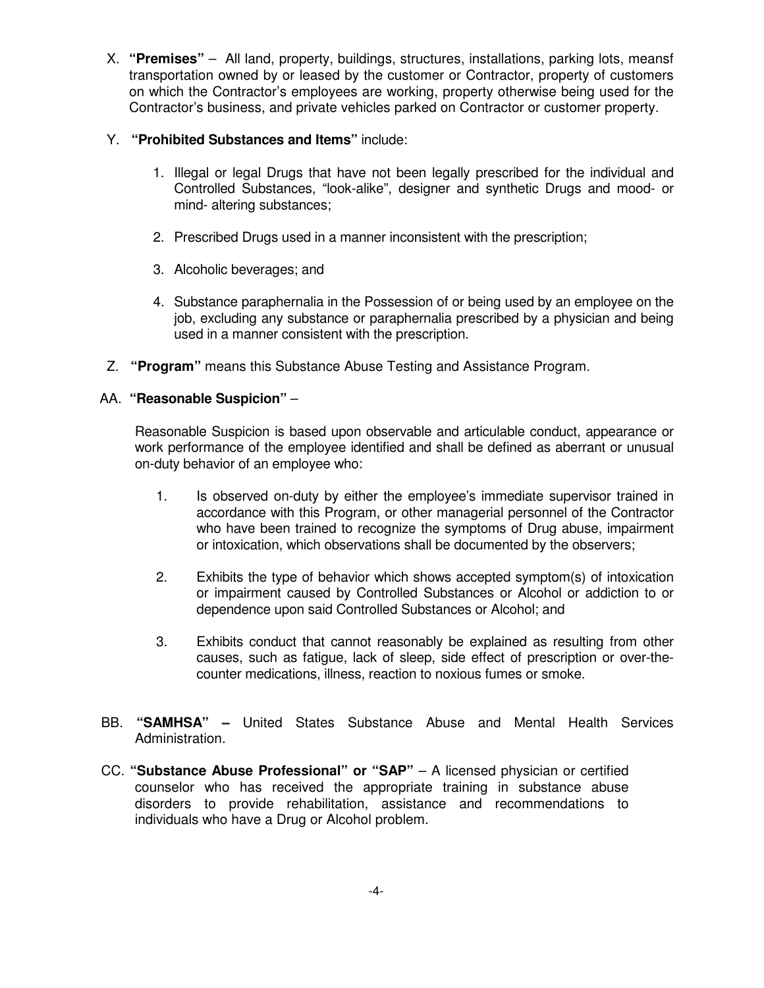X. **"Premises"** – All land, property, buildings, structures, installations, parking lots, meansf transportation owned by or leased by the customer or Contractor, property of customers on which the Contractor's employees are working, property otherwise being used for the Contractor's business, and private vehicles parked on Contractor or customer property.

# Y. **"Prohibited Substances and Items"** include:

- 1. Illegal or legal Drugs that have not been legally prescribed for the individual and Controlled Substances, "look-alike", designer and synthetic Drugs and mood- or mind- altering substances;
- 2. Prescribed Drugs used in a manner inconsistent with the prescription;
- 3. Alcoholic beverages; and
- 4. Substance paraphernalia in the Possession of or being used by an employee on the job, excluding any substance or paraphernalia prescribed by a physician and being used in a manner consistent with the prescription.
- Z. **"Program"** means this Substance Abuse Testing and Assistance Program.

# AA. **"Reasonable Suspicion"** –

Reasonable Suspicion is based upon observable and articulable conduct, appearance or work performance of the employee identified and shall be defined as aberrant or unusual on-duty behavior of an employee who:

- 1. Is observed on-duty by either the employee's immediate supervisor trained in accordance with this Program, or other managerial personnel of the Contractor who have been trained to recognize the symptoms of Drug abuse, impairment or intoxication, which observations shall be documented by the observers;
- 2. Exhibits the type of behavior which shows accepted symptom(s) of intoxication or impairment caused by Controlled Substances or Alcohol or addiction to or dependence upon said Controlled Substances or Alcohol; and
- 3. Exhibits conduct that cannot reasonably be explained as resulting from other causes, such as fatigue, lack of sleep, side effect of prescription or over-thecounter medications, illness, reaction to noxious fumes or smoke.
- BB. **"SAMHSA"** United States Substance Abuse and Mental Health Services Administration.
- CC. "Substance Abuse Professional" or "SAP" A licensed physician or certified counselor who has received the appropriate training in substance abuse disorders to provide rehabilitation, assistance and recommendations to individuals who have a Drug or Alcohol problem.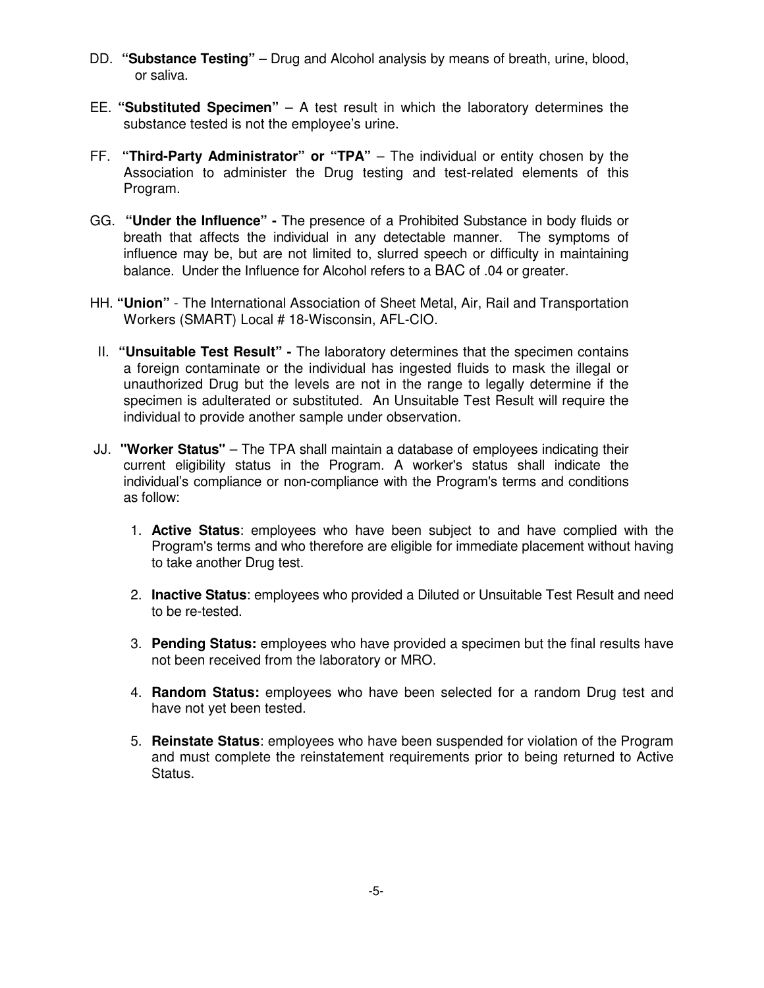- DD. **"Substance Testing"**  Drug and Alcohol analysis by means of breath, urine, blood, or saliva.
- EE. **"Substituted Specimen"** A test result in which the laboratory determines the substance tested is not the employee's urine.
- FF. **"Third-Party Administrator" or "TPA"**  The individual or entity chosen by the Association to administer the Drug testing and test-related elements of this Program.
- GG. **"Under the Influence" -** The presence of a Prohibited Substance in body fluids or breath that affects the individual in any detectable manner. The symptoms of influence may be, but are not limited to, slurred speech or difficulty in maintaining balance. Under the Influence for Alcohol refers to a BAC of .04 or greater.
- HH. **"Union"** The International Association of Sheet Metal, Air, Rail and Transportation Workers (SMART) Local # 18-Wisconsin, AFL-CIO.
- II. **"Unsuitable Test Result"** The laboratory determines that the specimen contains a foreign contaminate or the individual has ingested fluids to mask the illegal or unauthorized Drug but the levels are not in the range to legally determine if the specimen is adulterated or substituted. An Unsuitable Test Result will require the individual to provide another sample under observation.
- JJ. **"Worker Status"** The TPA shall maintain a database of employees indicating their current eligibility status in the Program. A worker's status shall indicate the individual's compliance or non-compliance with the Program's terms and conditions as follow:
	- 1. **Active Status**: employees who have been subject to and have complied with the Program's terms and who therefore are eligible for immediate placement without having to take another Drug test.
	- 2. **Inactive Status**: employees who provided a Diluted or Unsuitable Test Result and need to be re-tested.
	- 3. **Pending Status:** employees who have provided a specimen but the final results have not been received from the laboratory or MRO.
	- 4. **Random Status:** employees who have been selected for a random Drug test and have not yet been tested.
	- 5. **Reinstate Status**: employees who have been suspended for violation of the Program and must complete the reinstatement requirements prior to being returned to Active Status.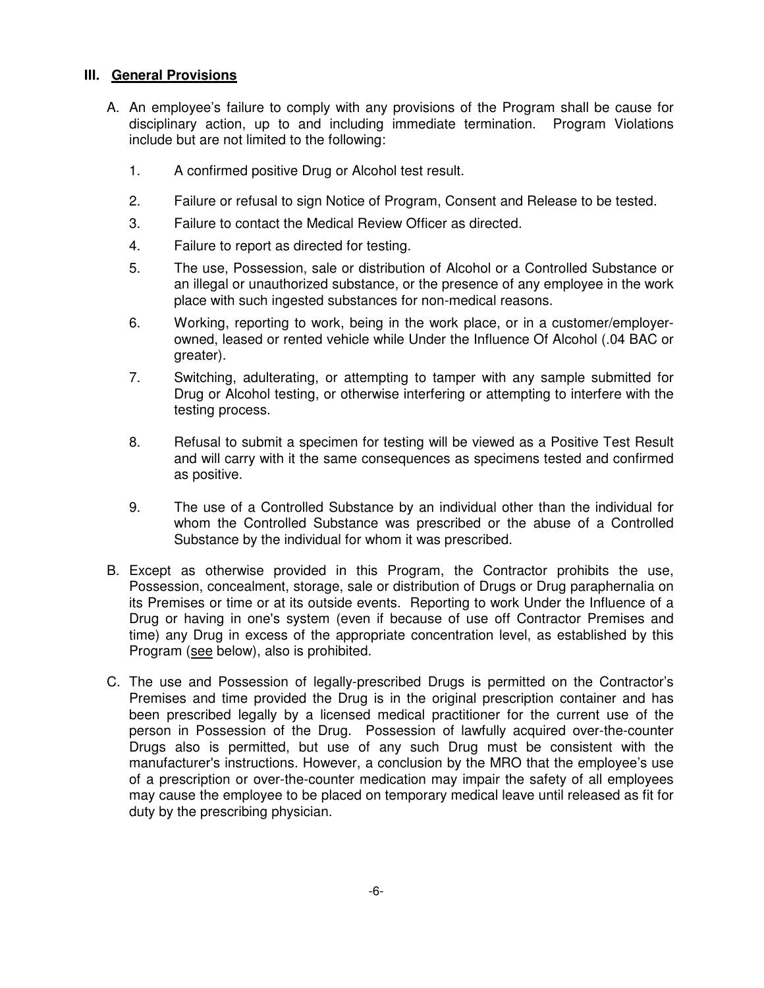# **III. General Provisions**

- A. An employee's failure to comply with any provisions of the Program shall be cause for disciplinary action, up to and including immediate termination. Program Violations include but are not limited to the following:
	- 1. A confirmed positive Drug or Alcohol test result.
	- 2. Failure or refusal to sign Notice of Program, Consent and Release to be tested.
	- 3. Failure to contact the Medical Review Officer as directed.
	- 4. Failure to report as directed for testing.
	- 5. The use, Possession, sale or distribution of Alcohol or a Controlled Substance or an illegal or unauthorized substance, or the presence of any employee in the work place with such ingested substances for non-medical reasons.
	- 6. Working, reporting to work, being in the work place, or in a customer/employerowned, leased or rented vehicle while Under the Influence Of Alcohol (.04 BAC or greater).
	- 7. Switching, adulterating, or attempting to tamper with any sample submitted for Drug or Alcohol testing, or otherwise interfering or attempting to interfere with the testing process.
	- 8. Refusal to submit a specimen for testing will be viewed as a Positive Test Result and will carry with it the same consequences as specimens tested and confirmed as positive.
	- 9. The use of a Controlled Substance by an individual other than the individual for whom the Controlled Substance was prescribed or the abuse of a Controlled Substance by the individual for whom it was prescribed.
- B. Except as otherwise provided in this Program, the Contractor prohibits the use, Possession, concealment, storage, sale or distribution of Drugs or Drug paraphernalia on its Premises or time or at its outside events. Reporting to work Under the Influence of a Drug or having in one's system (even if because of use off Contractor Premises and time) any Drug in excess of the appropriate concentration level, as established by this Program (see below), also is prohibited.
- C. The use and Possession of legally-prescribed Drugs is permitted on the Contractor's Premises and time provided the Drug is in the original prescription container and has been prescribed legally by a licensed medical practitioner for the current use of the person in Possession of the Drug. Possession of lawfully acquired over-the-counter Drugs also is permitted, but use of any such Drug must be consistent with the manufacturer's instructions. However, a conclusion by the MRO that the employee's use of a prescription or over-the-counter medication may impair the safety of all employees may cause the employee to be placed on temporary medical leave until released as fit for duty by the prescribing physician.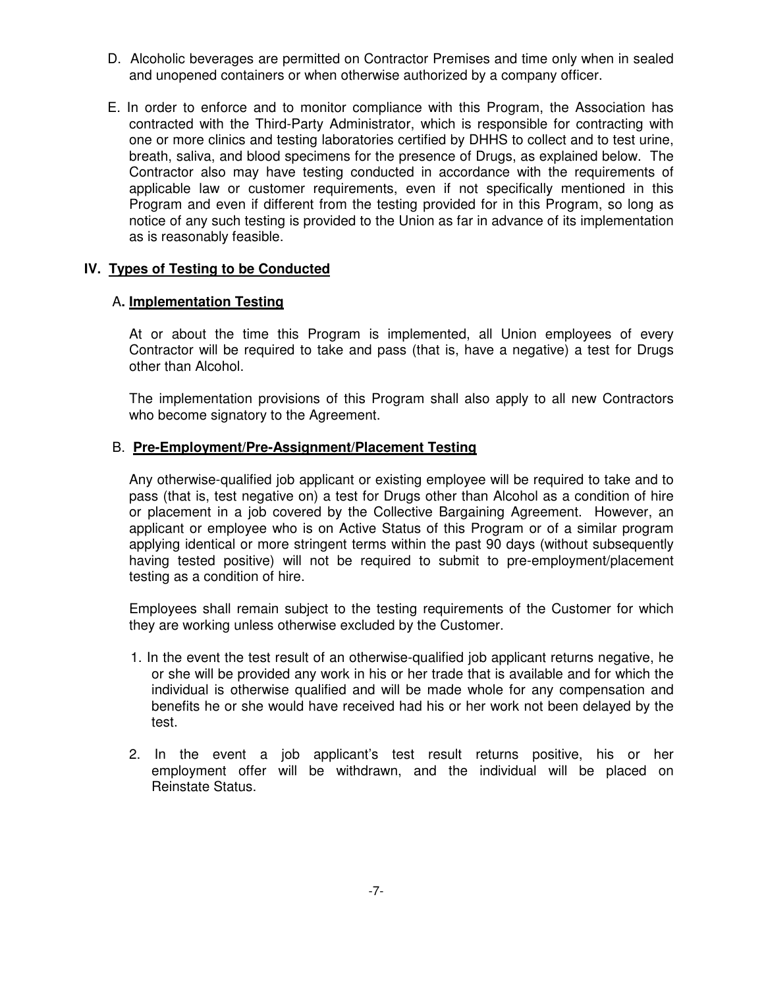- D. Alcoholic beverages are permitted on Contractor Premises and time only when in sealed and unopened containers or when otherwise authorized by a company officer.
- E. In order to enforce and to monitor compliance with this Program, the Association has contracted with the Third-Party Administrator, which is responsible for contracting with one or more clinics and testing laboratories certified by DHHS to collect and to test urine, breath, saliva, and blood specimens for the presence of Drugs, as explained below. The Contractor also may have testing conducted in accordance with the requirements of applicable law or customer requirements, even if not specifically mentioned in this Program and even if different from the testing provided for in this Program, so long as notice of any such testing is provided to the Union as far in advance of its implementation as is reasonably feasible.

#### **IV. Types of Testing to be Conducted**

#### A**. Implementation Testing**

 At or about the time this Program is implemented, all Union employees of every Contractor will be required to take and pass (that is, have a negative) a test for Drugs other than Alcohol.

 The implementation provisions of this Program shall also apply to all new Contractors who become signatory to the Agreement.

#### B. **Pre-Employment/Pre-Assignment/Placement Testing**

 Any otherwise-qualified job applicant or existing employee will be required to take and to pass (that is, test negative on) a test for Drugs other than Alcohol as a condition of hire or placement in a job covered by the Collective Bargaining Agreement. However, an applicant or employee who is on Active Status of this Program or of a similar program applying identical or more stringent terms within the past 90 days (without subsequently having tested positive) will not be required to submit to pre-employment/placement testing as a condition of hire.

Employees shall remain subject to the testing requirements of the Customer for which they are working unless otherwise excluded by the Customer.

- 1. In the event the test result of an otherwise-qualified job applicant returns negative, he or she will be provided any work in his or her trade that is available and for which the individual is otherwise qualified and will be made whole for any compensation and benefits he or she would have received had his or her work not been delayed by the test.
- 2. In the event a job applicant's test result returns positive, his or her employment offer will be withdrawn, and the individual will be placed on Reinstate Status.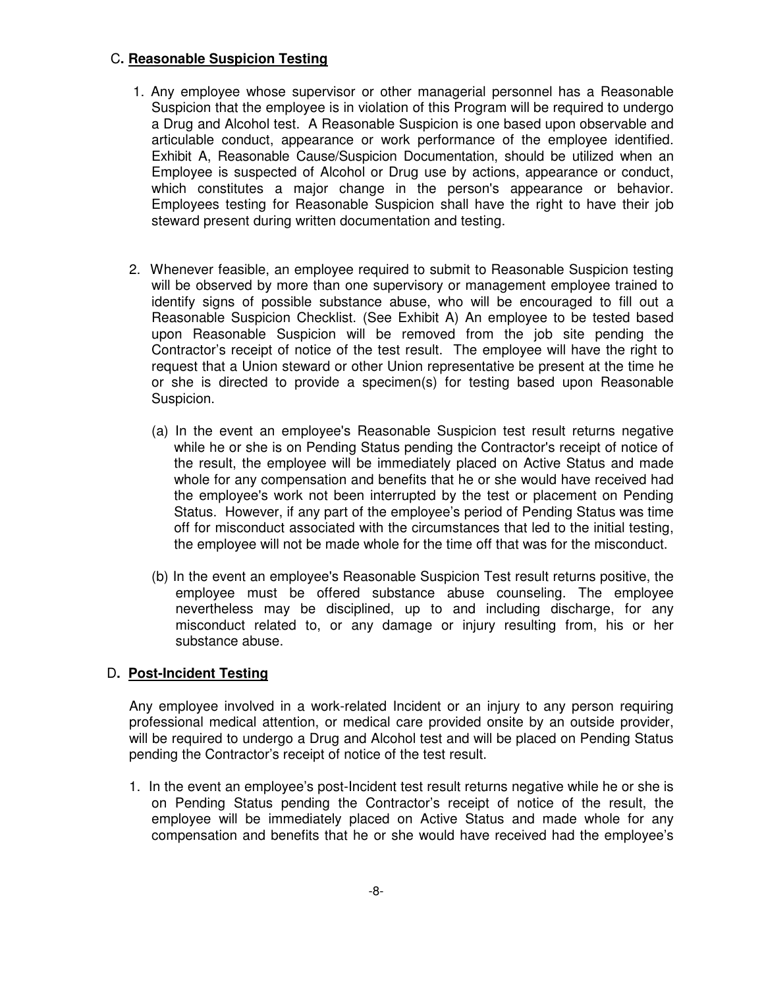### C**. Reasonable Suspicion Testing**

- 1. Any employee whose supervisor or other managerial personnel has a Reasonable Suspicion that the employee is in violation of this Program will be required to undergo a Drug and Alcohol test. A Reasonable Suspicion is one based upon observable and articulable conduct, appearance or work performance of the employee identified. Exhibit A, Reasonable Cause/Suspicion Documentation, should be utilized when an Employee is suspected of Alcohol or Drug use by actions, appearance or conduct, which constitutes a major change in the person's appearance or behavior. Employees testing for Reasonable Suspicion shall have the right to have their job steward present during written documentation and testing.
- 2. Whenever feasible, an employee required to submit to Reasonable Suspicion testing will be observed by more than one supervisory or management employee trained to identify signs of possible substance abuse, who will be encouraged to fill out a Reasonable Suspicion Checklist. (See Exhibit A) An employee to be tested based upon Reasonable Suspicion will be removed from the job site pending the Contractor's receipt of notice of the test result. The employee will have the right to request that a Union steward or other Union representative be present at the time he or she is directed to provide a specimen(s) for testing based upon Reasonable Suspicion.
	- (a) In the event an employee's Reasonable Suspicion test result returns negative while he or she is on Pending Status pending the Contractor's receipt of notice of the result, the employee will be immediately placed on Active Status and made whole for any compensation and benefits that he or she would have received had the employee's work not been interrupted by the test or placement on Pending Status. However, if any part of the employee's period of Pending Status was time off for misconduct associated with the circumstances that led to the initial testing, the employee will not be made whole for the time off that was for the misconduct.
	- (b) In the event an employee's Reasonable Suspicion Test result returns positive, the employee must be offered substance abuse counseling. The employee nevertheless may be disciplined, up to and including discharge, for any misconduct related to, or any damage or injury resulting from, his or her substance abuse.

# D**. Post-Incident Testing**

 Any employee involved in a work-related Incident or an injury to any person requiring professional medical attention, or medical care provided onsite by an outside provider, will be required to undergo a Drug and Alcohol test and will be placed on Pending Status pending the Contractor's receipt of notice of the test result.

1. In the event an employee's post-Incident test result returns negative while he or she is on Pending Status pending the Contractor's receipt of notice of the result, the employee will be immediately placed on Active Status and made whole for any compensation and benefits that he or she would have received had the employee's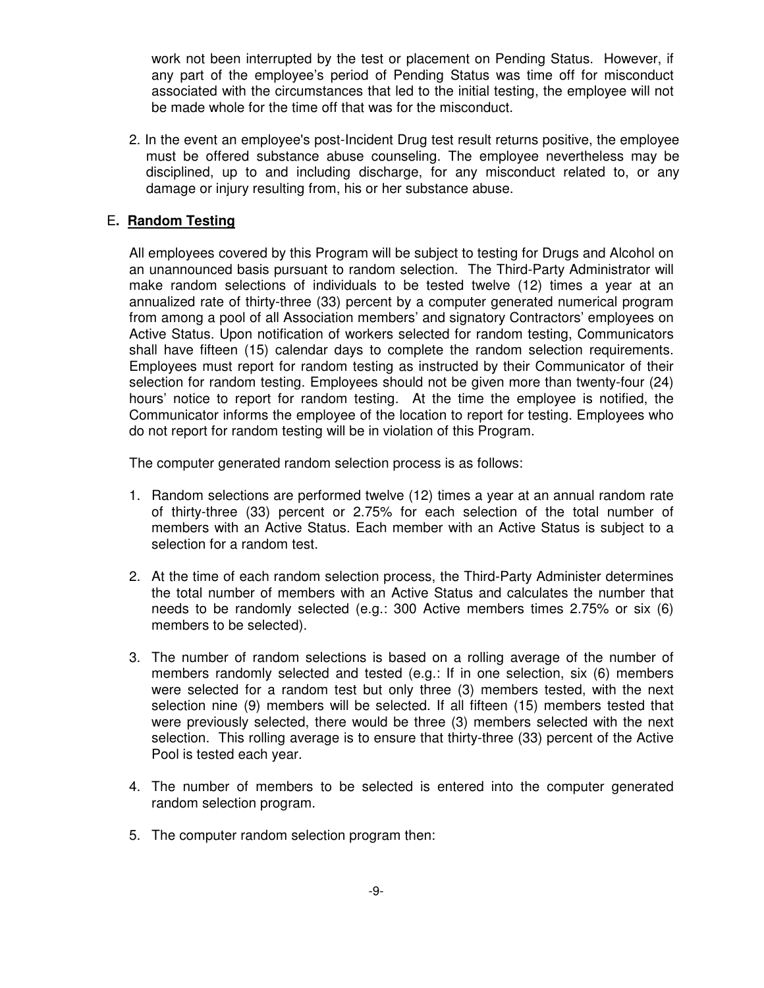work not been interrupted by the test or placement on Pending Status. However, if any part of the employee's period of Pending Status was time off for misconduct associated with the circumstances that led to the initial testing, the employee will not be made whole for the time off that was for the misconduct.

 2. In the event an employee's post-Incident Drug test result returns positive, the employee must be offered substance abuse counseling. The employee nevertheless may be disciplined, up to and including discharge, for any misconduct related to, or any damage or injury resulting from, his or her substance abuse.

#### E**. Random Testing**

All employees covered by this Program will be subject to testing for Drugs and Alcohol on an unannounced basis pursuant to random selection. The Third-Party Administrator will make random selections of individuals to be tested twelve (12) times a year at an annualized rate of thirty-three (33) percent by a computer generated numerical program from among a pool of all Association members' and signatory Contractors' employees on Active Status. Upon notification of workers selected for random testing, Communicators shall have fifteen (15) calendar days to complete the random selection requirements. Employees must report for random testing as instructed by their Communicator of their selection for random testing. Employees should not be given more than twenty-four (24) hours' notice to report for random testing. At the time the employee is notified, the Communicator informs the employee of the location to report for testing. Employees who do not report for random testing will be in violation of this Program.

The computer generated random selection process is as follows:

- 1. Random selections are performed twelve (12) times a year at an annual random rate of thirty-three (33) percent or 2.75% for each selection of the total number of members with an Active Status. Each member with an Active Status is subject to a selection for a random test.
- 2. At the time of each random selection process, the Third-Party Administer determines the total number of members with an Active Status and calculates the number that needs to be randomly selected (e.g.: 300 Active members times 2.75% or six (6) members to be selected).
- 3. The number of random selections is based on a rolling average of the number of members randomly selected and tested (e.g.: If in one selection, six (6) members were selected for a random test but only three (3) members tested, with the next selection nine (9) members will be selected. If all fifteen (15) members tested that were previously selected, there would be three (3) members selected with the next selection. This rolling average is to ensure that thirty-three (33) percent of the Active Pool is tested each year.
- 4. The number of members to be selected is entered into the computer generated random selection program.
- 5. The computer random selection program then: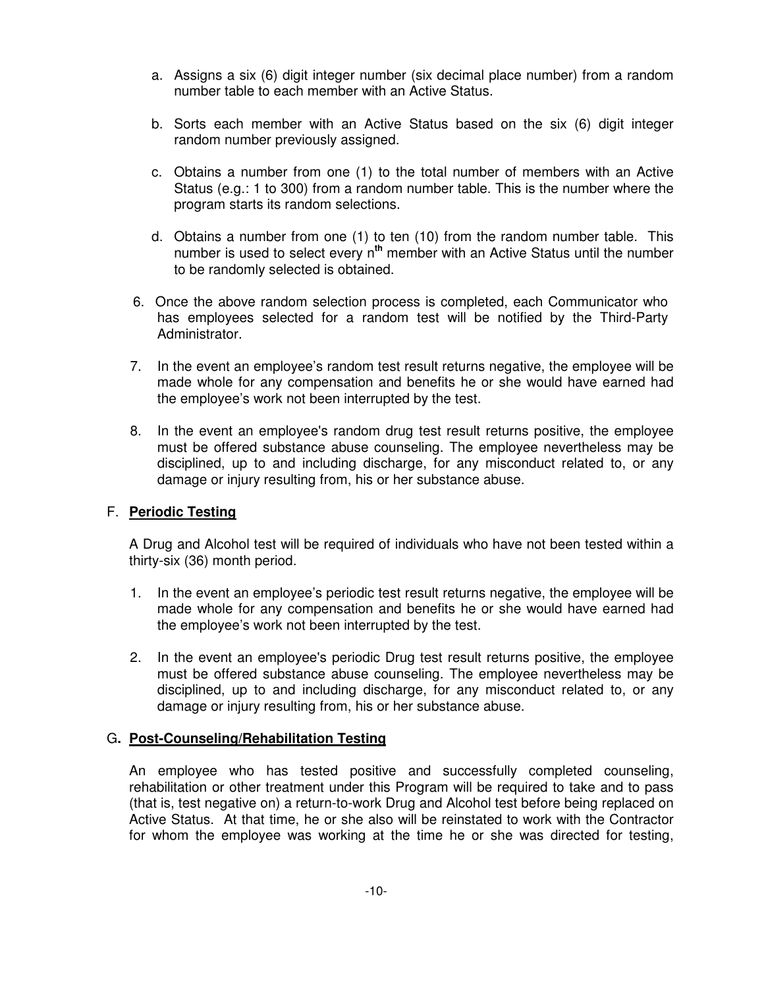- a. Assigns a six (6) digit integer number (six decimal place number) from a random number table to each member with an Active Status.
- b. Sorts each member with an Active Status based on the six (6) digit integer random number previously assigned.
- c. Obtains a number from one (1) to the total number of members with an Active Status (e.g.: 1 to 300) from a random number table. This is the number where the program starts its random selections.
- d. Obtains a number from one (1) to ten (10) from the random number table. This number is used to select every n**th** member with an Active Status until the number to be randomly selected is obtained.
- 6. Once the above random selection process is completed, each Communicator who has employees selected for a random test will be notified by the Third-Party Administrator.
- 7. In the event an employee's random test result returns negative, the employee will be made whole for any compensation and benefits he or she would have earned had the employee's work not been interrupted by the test.
- 8. In the event an employee's random drug test result returns positive, the employee must be offered substance abuse counseling. The employee nevertheless may be disciplined, up to and including discharge, for any misconduct related to, or any damage or injury resulting from, his or her substance abuse.

### F. **Periodic Testing**

A Drug and Alcohol test will be required of individuals who have not been tested within a thirty-six (36) month period.

- 1. In the event an employee's periodic test result returns negative, the employee will be made whole for any compensation and benefits he or she would have earned had the employee's work not been interrupted by the test.
- 2. In the event an employee's periodic Drug test result returns positive, the employee must be offered substance abuse counseling. The employee nevertheless may be disciplined, up to and including discharge, for any misconduct related to, or any damage or injury resulting from, his or her substance abuse.

### G**. Post-Counseling/Rehabilitation Testing**

 An employee who has tested positive and successfully completed counseling, rehabilitation or other treatment under this Program will be required to take and to pass (that is, test negative on) a return-to-work Drug and Alcohol test before being replaced on Active Status. At that time, he or she also will be reinstated to work with the Contractor for whom the employee was working at the time he or she was directed for testing,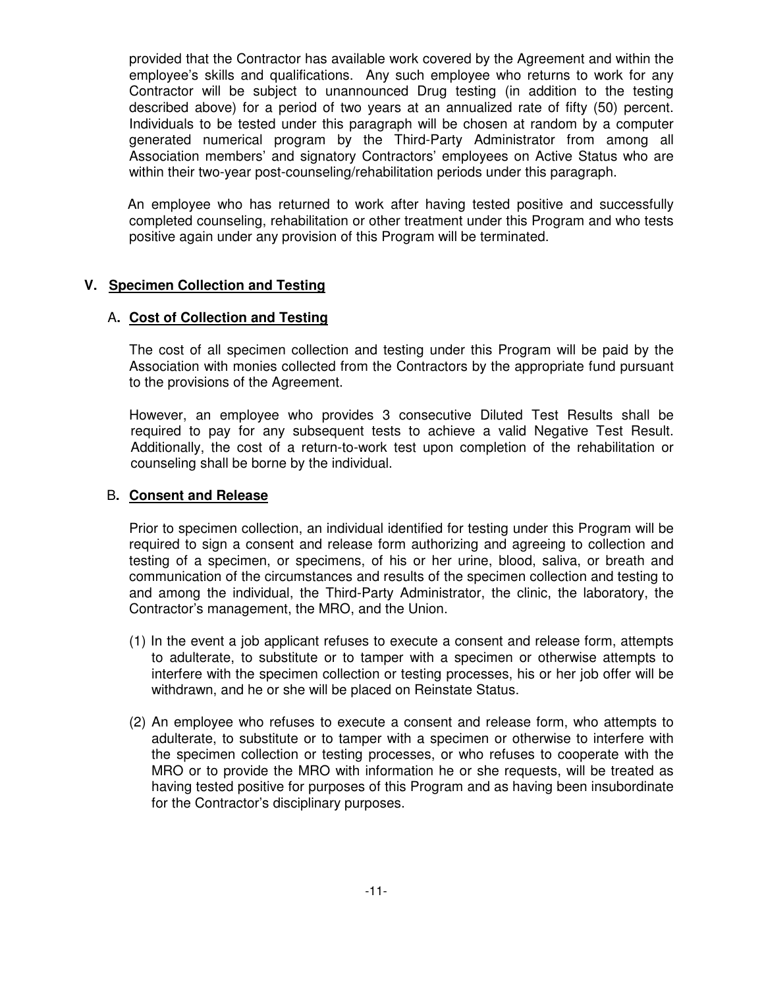provided that the Contractor has available work covered by the Agreement and within the employee's skills and qualifications. Any such employee who returns to work for any Contractor will be subject to unannounced Drug testing (in addition to the testing described above) for a period of two years at an annualized rate of fifty (50) percent. Individuals to be tested under this paragraph will be chosen at random by a computer generated numerical program by the Third-Party Administrator from among all Association members' and signatory Contractors' employees on Active Status who are within their two-year post-counseling/rehabilitation periods under this paragraph.

An employee who has returned to work after having tested positive and successfully completed counseling, rehabilitation or other treatment under this Program and who tests positive again under any provision of this Program will be terminated.

### **V. Specimen Collection and Testing**

### A**. Cost of Collection and Testing**

The cost of all specimen collection and testing under this Program will be paid by the Association with monies collected from the Contractors by the appropriate fund pursuant to the provisions of the Agreement.

 However, an employee who provides 3 consecutive Diluted Test Results shall be required to pay for any subsequent tests to achieve a valid Negative Test Result. Additionally, the cost of a return-to-work test upon completion of the rehabilitation or counseling shall be borne by the individual.

#### B**. Consent and Release**

 Prior to specimen collection, an individual identified for testing under this Program will be required to sign a consent and release form authorizing and agreeing to collection and testing of a specimen, or specimens, of his or her urine, blood, saliva, or breath and communication of the circumstances and results of the specimen collection and testing to and among the individual, the Third-Party Administrator, the clinic, the laboratory, the Contractor's management, the MRO, and the Union.

- (1) In the event a job applicant refuses to execute a consent and release form, attempts to adulterate, to substitute or to tamper with a specimen or otherwise attempts to interfere with the specimen collection or testing processes, his or her job offer will be withdrawn, and he or she will be placed on Reinstate Status.
- (2) An employee who refuses to execute a consent and release form, who attempts to adulterate, to substitute or to tamper with a specimen or otherwise to interfere with the specimen collection or testing processes, or who refuses to cooperate with the MRO or to provide the MRO with information he or she requests, will be treated as having tested positive for purposes of this Program and as having been insubordinate for the Contractor's disciplinary purposes.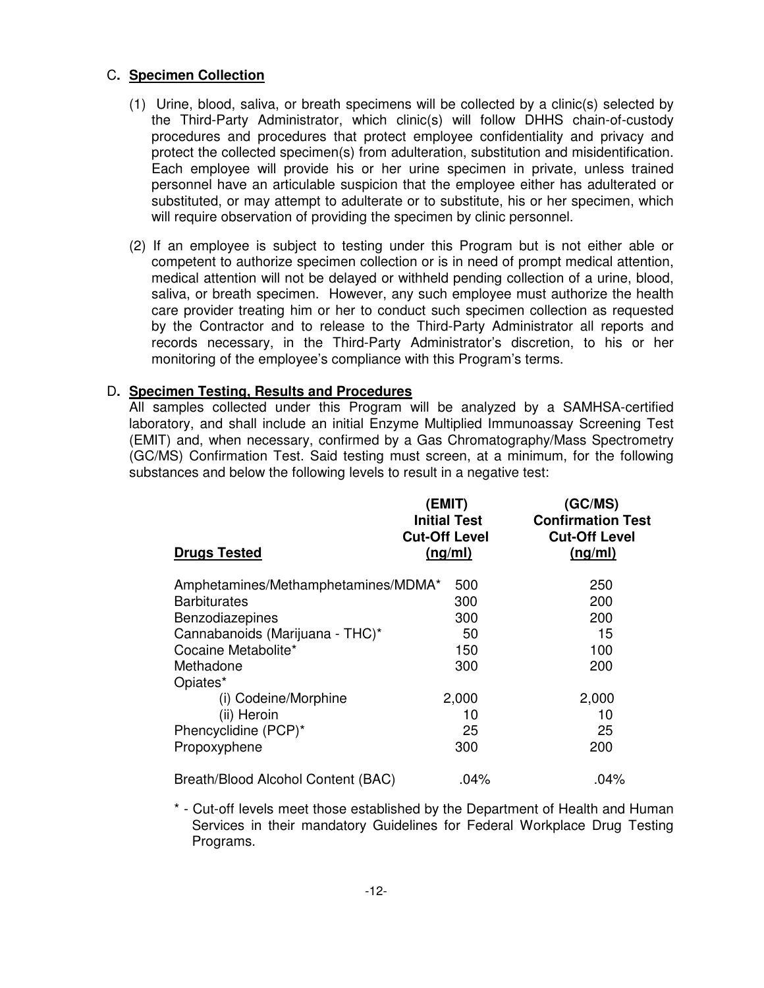### C**. Specimen Collection**

- (1) Urine, blood, saliva, or breath specimens will be collected by a clinic(s) selected by the Third-Party Administrator, which clinic(s) will follow DHHS chain-of-custody procedures and procedures that protect employee confidentiality and privacy and protect the collected specimen(s) from adulteration, substitution and misidentification. Each employee will provide his or her urine specimen in private, unless trained personnel have an articulable suspicion that the employee either has adulterated or substituted, or may attempt to adulterate or to substitute, his or her specimen, which will require observation of providing the specimen by clinic personnel.
- (2) If an employee is subject to testing under this Program but is not either able or competent to authorize specimen collection or is in need of prompt medical attention, medical attention will not be delayed or withheld pending collection of a urine, blood, saliva, or breath specimen. However, any such employee must authorize the health care provider treating him or her to conduct such specimen collection as requested by the Contractor and to release to the Third-Party Administrator all reports and records necessary, in the Third-Party Administrator's discretion, to his or her monitoring of the employee's compliance with this Program's terms.

### D**. Specimen Testing, Results and Procedures**

All samples collected under this Program will be analyzed by a SAMHSA-certified laboratory, and shall include an initial Enzyme Multiplied Immunoassay Screening Test (EMIT) and, when necessary, confirmed by a Gas Chromatography/Mass Spectrometry (GC/MS) Confirmation Test. Said testing must screen, at a minimum, for the following substances and below the following levels to result in a negative test:

| <b>Drugs Tested</b>                 | (EMIT)<br><b>Initial Test</b><br><b>Cut-Off Level</b><br>(ng/ml) | (GC/MS)<br><b>Confirmation Test</b><br><b>Cut-Off Level</b><br>(ng/ml) |
|-------------------------------------|------------------------------------------------------------------|------------------------------------------------------------------------|
| Amphetamines/Methamphetamines/MDMA* | 500                                                              | 250                                                                    |
| <b>Barbiturates</b>                 | 300                                                              | 200                                                                    |
| Benzodiazepines                     | 300                                                              | 200                                                                    |
| Cannabanoids (Marijuana - THC)*     | 50                                                               | 15                                                                     |
| Cocaine Metabolite*                 | 150                                                              | 100                                                                    |
| Methadone                           | 300                                                              | 200                                                                    |
| Opiates*                            |                                                                  |                                                                        |
| (i) Codeine/Morphine                | 2,000                                                            | 2,000                                                                  |
| (ii) Heroin                         | 10                                                               | 10                                                                     |
| Phencyclidine (PCP)*                | 25                                                               | 25                                                                     |
| Propoxyphene                        | 300                                                              | 200                                                                    |
| Breath/Blood Alcohol Content (BAC)  | .04%                                                             | .04%                                                                   |

\* - Cut-off levels meet those established by the Department of Health and Human Services in their mandatory Guidelines for Federal Workplace Drug Testing Programs.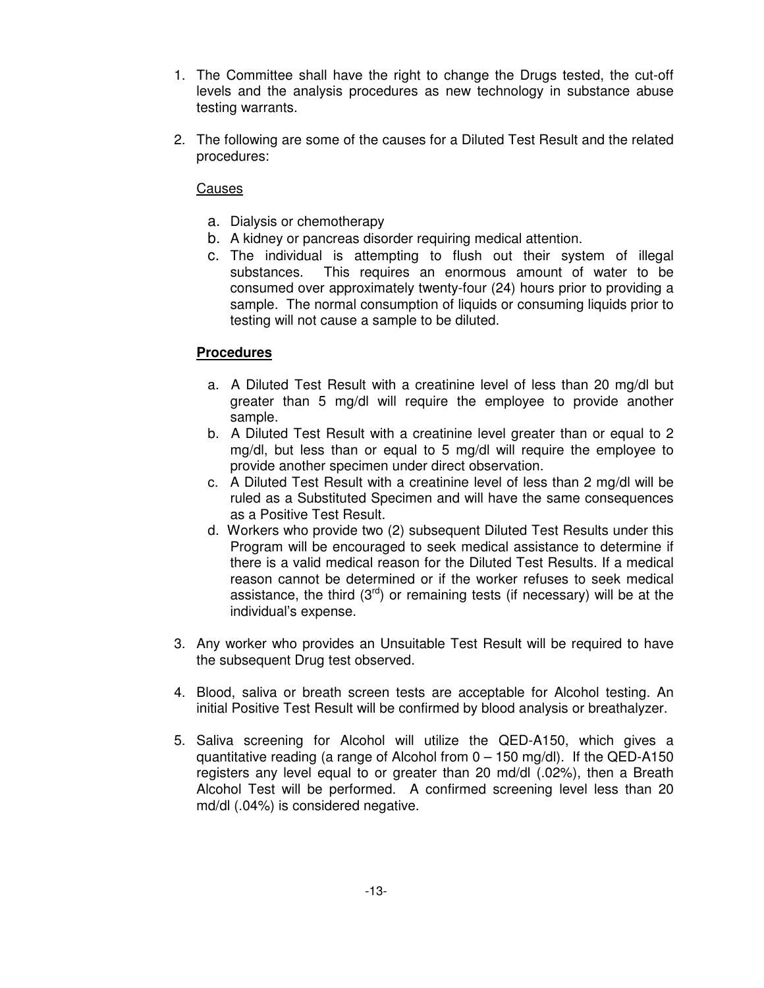- 1. The Committee shall have the right to change the Drugs tested, the cut-off levels and the analysis procedures as new technology in substance abuse testing warrants.
- 2. The following are some of the causes for a Diluted Test Result and the related procedures:

### Causes

- a. Dialysis or chemotherapy
- b. A kidney or pancreas disorder requiring medical attention.
- c. The individual is attempting to flush out their system of illegal substances. This requires an enormous amount of water to be consumed over approximately twenty-four (24) hours prior to providing a sample. The normal consumption of liquids or consuming liquids prior to testing will not cause a sample to be diluted.

# **Procedures**

- a. A Diluted Test Result with a creatinine level of less than 20 mg/dl but greater than 5 mg/dl will require the employee to provide another sample.
- b. A Diluted Test Result with a creatinine level greater than or equal to 2 mg/dl, but less than or equal to 5 mg/dl will require the employee to provide another specimen under direct observation.
- c. A Diluted Test Result with a creatinine level of less than 2 mg/dl will be ruled as a Substituted Specimen and will have the same consequences as a Positive Test Result.
- d. Workers who provide two (2) subsequent Diluted Test Results under this Program will be encouraged to seek medical assistance to determine if there is a valid medical reason for the Diluted Test Results. If a medical reason cannot be determined or if the worker refuses to seek medical assistance, the third  $(3^{rd})$  or remaining tests (if necessary) will be at the individual's expense.
- 3. Any worker who provides an Unsuitable Test Result will be required to have the subsequent Drug test observed.
- 4. Blood, saliva or breath screen tests are acceptable for Alcohol testing. An initial Positive Test Result will be confirmed by blood analysis or breathalyzer.
- 5. Saliva screening for Alcohol will utilize the QED-A150, which gives a quantitative reading (a range of Alcohol from  $0 - 150$  mg/dl). If the QED-A150 registers any level equal to or greater than 20 md/dl (.02%), then a Breath Alcohol Test will be performed. A confirmed screening level less than 20 md/dl (.04%) is considered negative.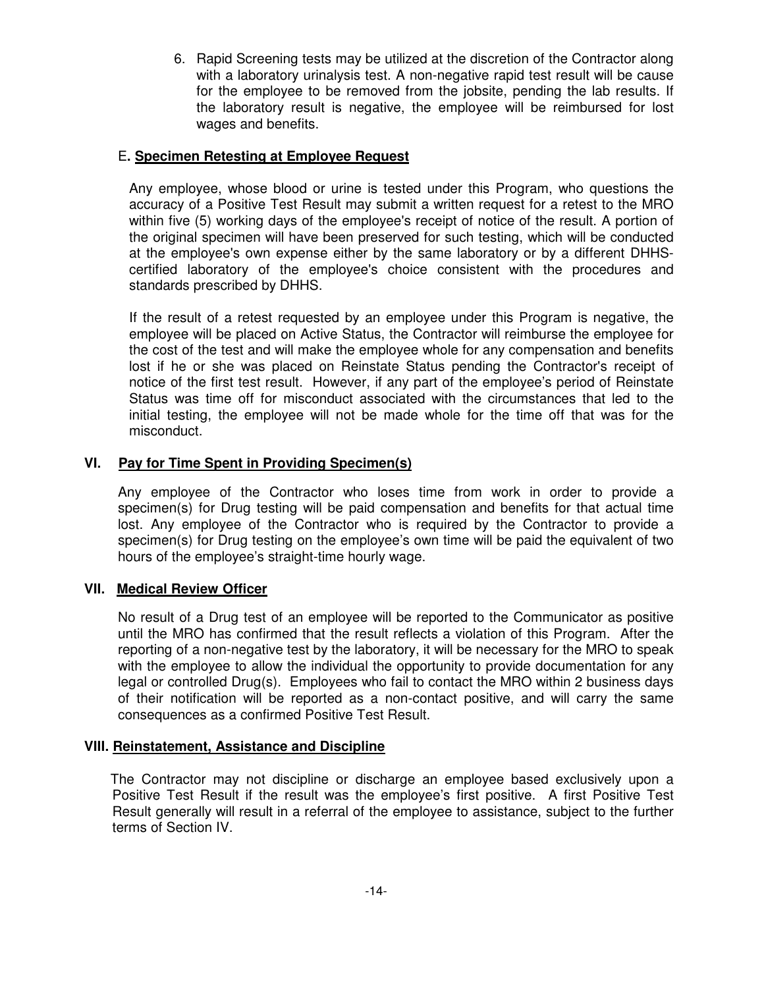6. Rapid Screening tests may be utilized at the discretion of the Contractor along with a laboratory urinalysis test. A non-negative rapid test result will be cause for the employee to be removed from the jobsite, pending the lab results. If the laboratory result is negative, the employee will be reimbursed for lost wages and benefits.

### E**. Specimen Retesting at Employee Request**

 Any employee, whose blood or urine is tested under this Program, who questions the accuracy of a Positive Test Result may submit a written request for a retest to the MRO within five (5) working days of the employee's receipt of notice of the result. A portion of the original specimen will have been preserved for such testing, which will be conducted at the employee's own expense either by the same laboratory or by a different DHHScertified laboratory of the employee's choice consistent with the procedures and standards prescribed by DHHS.

 If the result of a retest requested by an employee under this Program is negative, the employee will be placed on Active Status, the Contractor will reimburse the employee for the cost of the test and will make the employee whole for any compensation and benefits lost if he or she was placed on Reinstate Status pending the Contractor's receipt of notice of the first test result. However, if any part of the employee's period of Reinstate Status was time off for misconduct associated with the circumstances that led to the initial testing, the employee will not be made whole for the time off that was for the misconduct.

### **VI. Pay for Time Spent in Providing Specimen(s)**

Any employee of the Contractor who loses time from work in order to provide a specimen(s) for Drug testing will be paid compensation and benefits for that actual time lost. Any employee of the Contractor who is required by the Contractor to provide a specimen(s) for Drug testing on the employee's own time will be paid the equivalent of two hours of the employee's straight-time hourly wage.

#### **VII. Medical Review Officer**

No result of a Drug test of an employee will be reported to the Communicator as positive until the MRO has confirmed that the result reflects a violation of this Program. After the reporting of a non-negative test by the laboratory, it will be necessary for the MRO to speak with the employee to allow the individual the opportunity to provide documentation for any legal or controlled Drug(s). Employees who fail to contact the MRO within 2 business days of their notification will be reported as a non-contact positive, and will carry the same consequences as a confirmed Positive Test Result.

#### **VIII. Reinstatement, Assistance and Discipline**

 The Contractor may not discipline or discharge an employee based exclusively upon a Positive Test Result if the result was the employee's first positive. A first Positive Test Result generally will result in a referral of the employee to assistance, subject to the further terms of Section IV.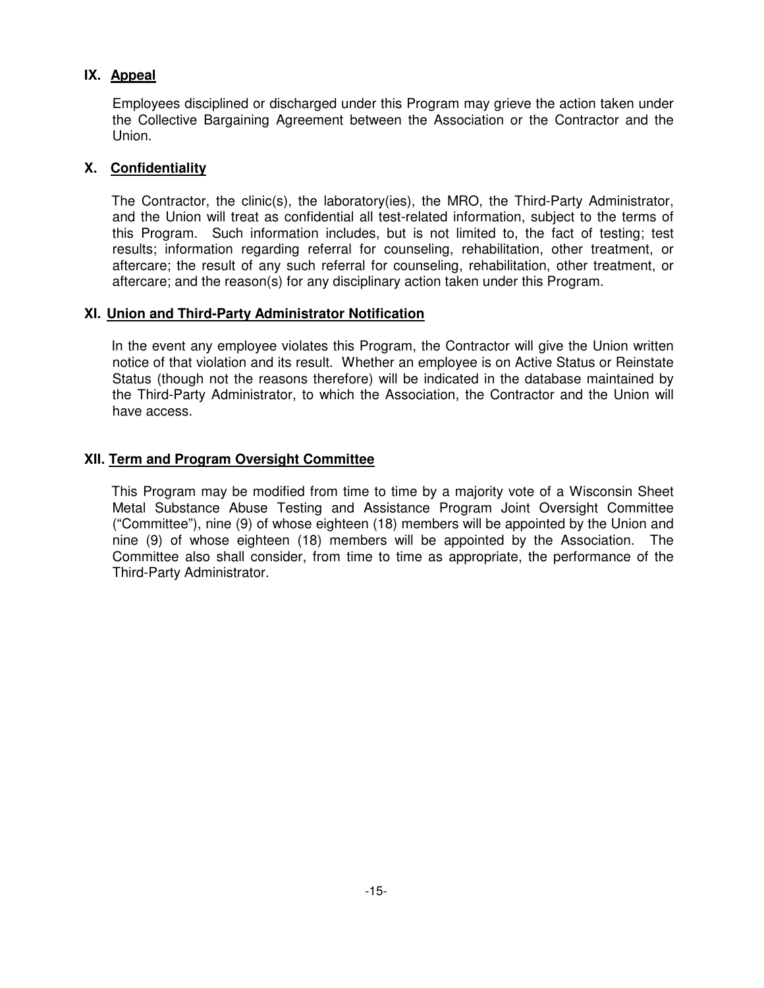# **IX. Appeal**

 Employees disciplined or discharged under this Program may grieve the action taken under the Collective Bargaining Agreement between the Association or the Contractor and the Union.

# **X. Confidentiality**

 The Contractor, the clinic(s), the laboratory(ies), the MRO, the Third-Party Administrator, and the Union will treat as confidential all test-related information, subject to the terms of this Program. Such information includes, but is not limited to, the fact of testing; test results; information regarding referral for counseling, rehabilitation, other treatment, or aftercare; the result of any such referral for counseling, rehabilitation, other treatment, or aftercare; and the reason(s) for any disciplinary action taken under this Program.

# **XI. Union and Third-Party Administrator Notification**

 In the event any employee violates this Program, the Contractor will give the Union written notice of that violation and its result. Whether an employee is on Active Status or Reinstate Status (though not the reasons therefore) will be indicated in the database maintained by the Third-Party Administrator, to which the Association, the Contractor and the Union will have access.

### **XII. Term and Program Oversight Committee**

 This Program may be modified from time to time by a majority vote of a Wisconsin Sheet Metal Substance Abuse Testing and Assistance Program Joint Oversight Committee ("Committee"), nine (9) of whose eighteen (18) members will be appointed by the Union and nine (9) of whose eighteen (18) members will be appointed by the Association. The Committee also shall consider, from time to time as appropriate, the performance of the Third-Party Administrator.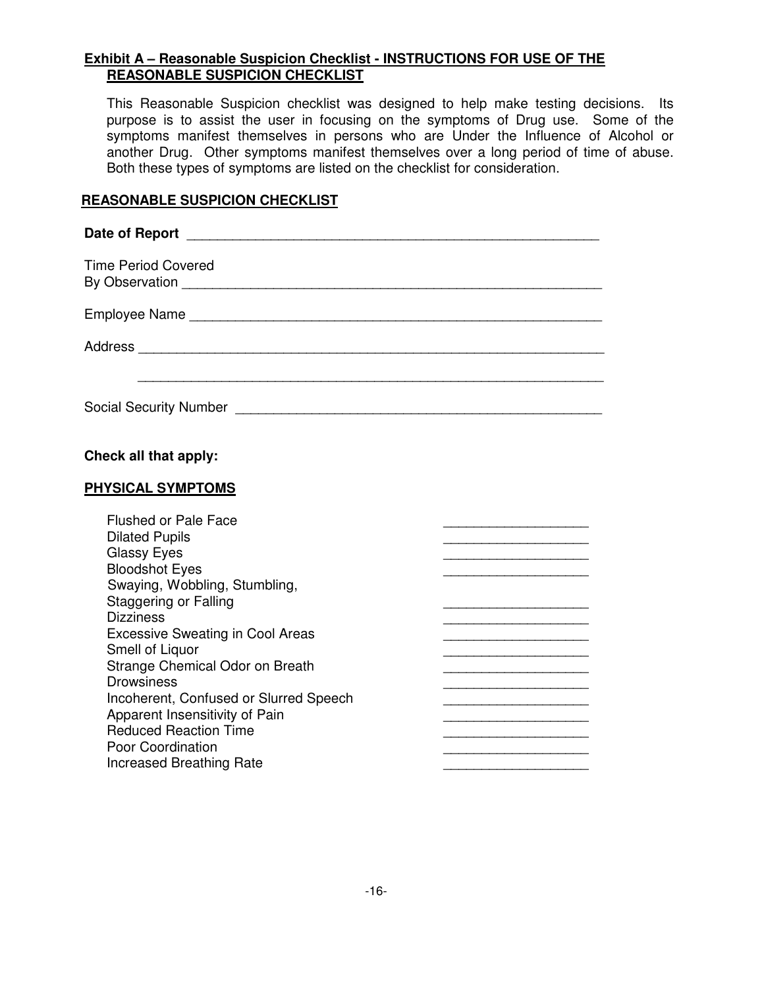# **Exhibit A – Reasonable Suspicion Checklist - INSTRUCTIONS FOR USE OF THE REASONABLE SUSPICION CHECKLIST**

This Reasonable Suspicion checklist was designed to help make testing decisions. Its purpose is to assist the user in focusing on the symptoms of Drug use. Some of the symptoms manifest themselves in persons who are Under the Influence of Alcohol or another Drug. Other symptoms manifest themselves over a long period of time of abuse. Both these types of symptoms are listed on the checklist for consideration.

# **REASONABLE SUSPICION CHECKLIST**

| <b>Time Period Covered</b>                                                                                                                                                                                                                                                                                                                                                                                                                                                         |                                                                                                                                                                                                                                                                                                                                                                                                                                                                                                   |
|------------------------------------------------------------------------------------------------------------------------------------------------------------------------------------------------------------------------------------------------------------------------------------------------------------------------------------------------------------------------------------------------------------------------------------------------------------------------------------|---------------------------------------------------------------------------------------------------------------------------------------------------------------------------------------------------------------------------------------------------------------------------------------------------------------------------------------------------------------------------------------------------------------------------------------------------------------------------------------------------|
|                                                                                                                                                                                                                                                                                                                                                                                                                                                                                    |                                                                                                                                                                                                                                                                                                                                                                                                                                                                                                   |
|                                                                                                                                                                                                                                                                                                                                                                                                                                                                                    |                                                                                                                                                                                                                                                                                                                                                                                                                                                                                                   |
| Social Security Number [19] [19] Social Article of Social Security Number 1, 1991                                                                                                                                                                                                                                                                                                                                                                                                  |                                                                                                                                                                                                                                                                                                                                                                                                                                                                                                   |
| Check all that apply:                                                                                                                                                                                                                                                                                                                                                                                                                                                              |                                                                                                                                                                                                                                                                                                                                                                                                                                                                                                   |
| PHYSICAL SYMPTOMS                                                                                                                                                                                                                                                                                                                                                                                                                                                                  |                                                                                                                                                                                                                                                                                                                                                                                                                                                                                                   |
| <b>Flushed or Pale Face</b><br><b>Dilated Pupils</b><br><b>Glassy Eyes</b><br><b>Bloodshot Eyes</b><br>Swaying, Wobbling, Stumbling,<br><b>Staggering or Falling</b><br><b>Dizziness</b><br><b>Excessive Sweating in Cool Areas</b><br>Smell of Liquor<br>Strange Chemical Odor on Breath<br><b>Drowsiness</b><br>Incoherent, Confused or Slurred Speech<br>Apparent Insensitivity of Pain<br><b>Reduced Reaction Time</b><br>Poor Coordination<br><b>Increased Breathing Rate</b> | the control of the control of the control of the control of the control of the control of the control of the control of the control of the control of the control of the control of the control of the control of the control<br>the control of the control of the control of the<br>the control of the control of the control of the<br>the control of the control of the control of the control of the control of the control of<br>the control of the control of the control of the control of |